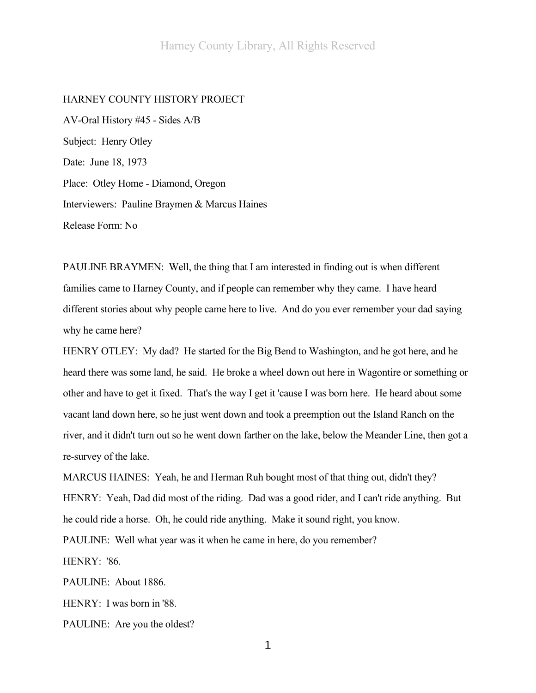### HARNEY COUNTY HISTORY PROJECT

AV-Oral History #45 - Sides A/B Subject: Henry Otley Date: June 18, 1973 Place: Otley Home - Diamond, Oregon Interviewers: Pauline Braymen & Marcus Haines Release Form: No

PAULINE BRAYMEN: Well, the thing that I am interested in finding out is when different families came to Harney County, and if people can remember why they came. I have heard different stories about why people came here to live. And do you ever remember your dad saying why he came here?

HENRY OTLEY: My dad? He started for the Big Bend to Washington, and he got here, and he heard there was some land, he said. He broke a wheel down out here in Wagontire or something or other and have to get it fixed. That's the way I get it 'cause I was born here. He heard about some vacant land down here, so he just went down and took a preemption out the Island Ranch on the river, and it didn't turn out so he went down farther on the lake, below the Meander Line, then got a re-survey of the lake.

MARCUS HAINES: Yeah, he and Herman Ruh bought most of that thing out, didn't they? HENRY: Yeah, Dad did most of the riding. Dad was a good rider, and I can't ride anything. But he could ride a horse. Oh, he could ride anything. Make it sound right, you know. PAULINE: Well what year was it when he came in here, do you remember?

HENRY: '86.

PAULINE: About 1886.

HENRY: I was born in '88.

PAULINE: Are you the oldest?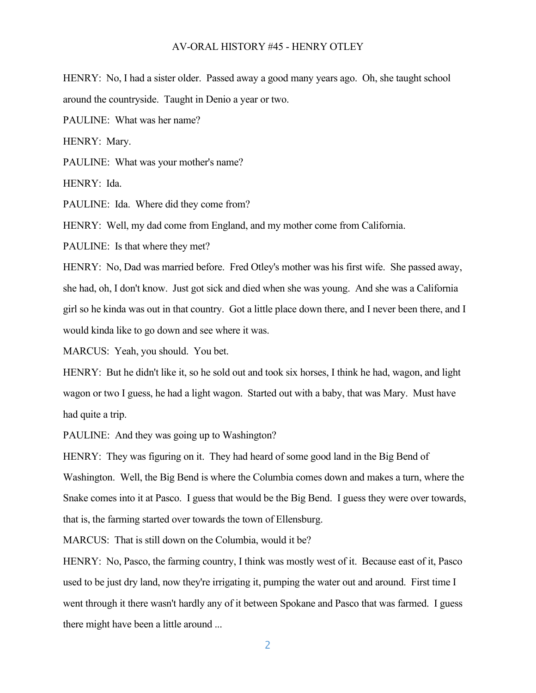HENRY: No, I had a sister older. Passed away a good many years ago. Oh, she taught school around the countryside. Taught in Denio a year or two.

PAULINE: What was her name?

HENRY: Mary.

PAULINE: What was your mother's name?

HENRY: Ida.

PAULINE: Ida. Where did they come from?

HENRY: Well, my dad come from England, and my mother come from California.

PAULINE: Is that where they met?

HENRY: No, Dad was married before. Fred Otley's mother was his first wife. She passed away, she had, oh, I don't know. Just got sick and died when she was young. And she was a California girl so he kinda was out in that country. Got a little place down there, and I never been there, and I would kinda like to go down and see where it was.

MARCUS: Yeah, you should. You bet.

HENRY: But he didn't like it, so he sold out and took six horses, I think he had, wagon, and light wagon or two I guess, he had a light wagon. Started out with a baby, that was Mary. Must have had quite a trip.

PAULINE: And they was going up to Washington?

HENRY: They was figuring on it. They had heard of some good land in the Big Bend of Washington. Well, the Big Bend is where the Columbia comes down and makes a turn, where the Snake comes into it at Pasco. I guess that would be the Big Bend. I guess they were over towards, that is, the farming started over towards the town of Ellensburg.

MARCUS: That is still down on the Columbia, would it be?

HENRY: No, Pasco, the farming country, I think was mostly west of it. Because east of it, Pasco used to be just dry land, now they're irrigating it, pumping the water out and around. First time I went through it there wasn't hardly any of it between Spokane and Pasco that was farmed. I guess there might have been a little around ...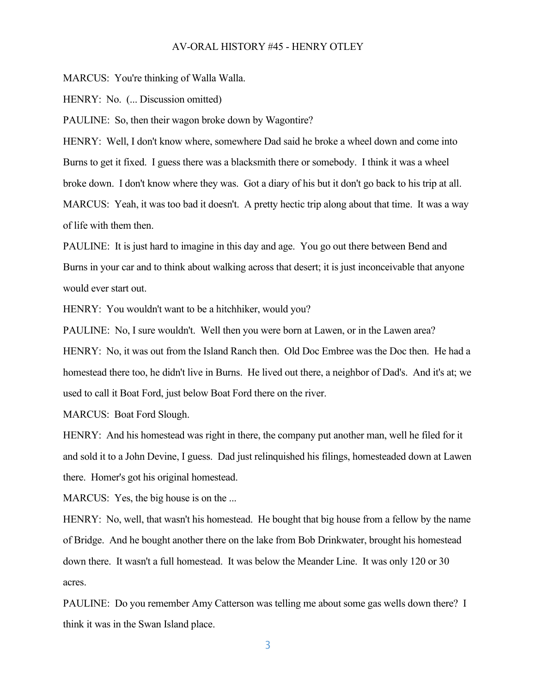MARCUS: You're thinking of Walla Walla.

HENRY: No. (... Discussion omitted)

PAULINE: So, then their wagon broke down by Wagontire?

HENRY: Well, I don't know where, somewhere Dad said he broke a wheel down and come into Burns to get it fixed. I guess there was a blacksmith there or somebody. I think it was a wheel broke down. I don't know where they was. Got a diary of his but it don't go back to his trip at all. MARCUS: Yeah, it was too bad it doesn't. A pretty hectic trip along about that time. It was a way of life with them then.

PAULINE: It is just hard to imagine in this day and age. You go out there between Bend and Burns in your car and to think about walking across that desert; it is just inconceivable that anyone would ever start out.

HENRY: You wouldn't want to be a hitchhiker, would you?

PAULINE: No, I sure wouldn't. Well then you were born at Lawen, or in the Lawen area? HENRY: No, it was out from the Island Ranch then. Old Doc Embree was the Doc then. He had a homestead there too, he didn't live in Burns. He lived out there, a neighbor of Dad's. And it's at; we used to call it Boat Ford, just below Boat Ford there on the river.

MARCUS: Boat Ford Slough.

HENRY: And his homestead was right in there, the company put another man, well he filed for it and sold it to a John Devine, I guess. Dad just relinquished his filings, homesteaded down at Lawen there. Homer's got his original homestead.

MARCUS: Yes, the big house is on the ...

HENRY: No, well, that wasn't his homestead. He bought that big house from a fellow by the name of Bridge. And he bought another there on the lake from Bob Drinkwater, brought his homestead down there. It wasn't a full homestead. It was below the Meander Line. It was only 120 or 30 acres.

PAULINE: Do you remember Amy Catterson was telling me about some gas wells down there? I think it was in the Swan Island place.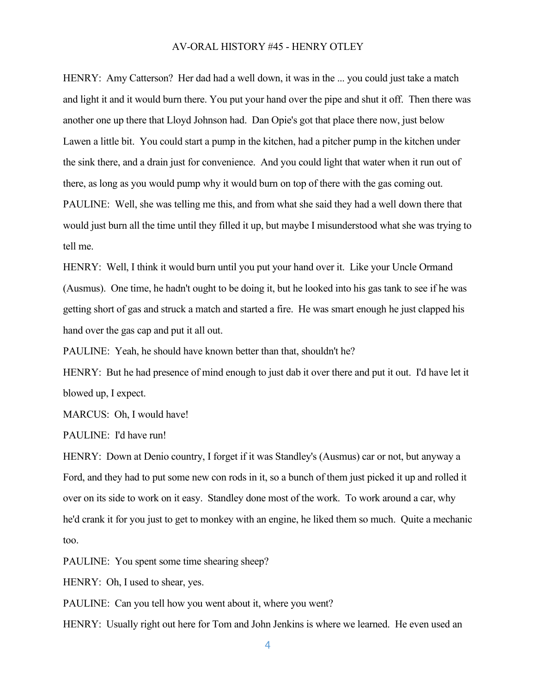HENRY: Amy Catterson? Her dad had a well down, it was in the ... you could just take a match and light it and it would burn there. You put your hand over the pipe and shut it off. Then there was another one up there that Lloyd Johnson had. Dan Opie's got that place there now, just below Lawen a little bit. You could start a pump in the kitchen, had a pitcher pump in the kitchen under the sink there, and a drain just for convenience. And you could light that water when it run out of there, as long as you would pump why it would burn on top of there with the gas coming out. PAULINE: Well, she was telling me this, and from what she said they had a well down there that would just burn all the time until they filled it up, but maybe I misunderstood what she was trying to tell me.

HENRY: Well, I think it would burn until you put your hand over it. Like your Uncle Ormand (Ausmus). One time, he hadn't ought to be doing it, but he looked into his gas tank to see if he was getting short of gas and struck a match and started a fire. He was smart enough he just clapped his hand over the gas cap and put it all out.

PAULINE: Yeah, he should have known better than that, shouldn't he?

HENRY: But he had presence of mind enough to just dab it over there and put it out. I'd have let it blowed up, I expect.

MARCUS: Oh, I would have!

PAULINE: I'd have run!

HENRY: Down at Denio country, I forget if it was Standley's (Ausmus) car or not, but anyway a Ford, and they had to put some new con rods in it, so a bunch of them just picked it up and rolled it over on its side to work on it easy. Standley done most of the work. To work around a car, why he'd crank it for you just to get to monkey with an engine, he liked them so much. Quite a mechanic too.

PAULINE: You spent some time shearing sheep?

HENRY: Oh, I used to shear, yes.

PAULINE: Can you tell how you went about it, where you went?

HENRY: Usually right out here for Tom and John Jenkins is where we learned. He even used an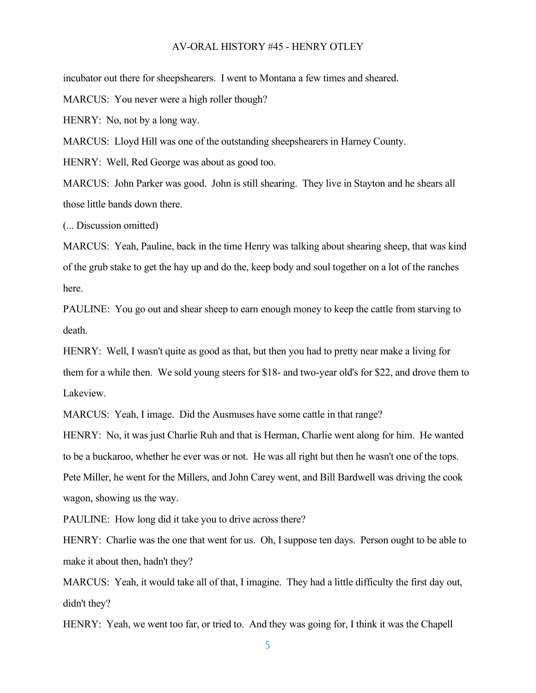incubator out there for sheepshearers. I went to Montana a few times and sheared.

MARCUS: You never were a high roller though?

HENRY: No, not by a long way.

MARCUS: Lloyd Hill was one of the outstanding sheepshearers in Harney County.

HENRY: Well, Red George was about as good too.

MARCUS: John Parker was good. John is still shearing. They live in Stayton and he shears all those little bands down there.

(... Discussion omitted)

MARCUS: Yeah, Pauline, back in the time Henry was talking about shearing sheep, that was kind of the grub stake to get the hay up and do the, keep body and soul together on a lot of the ranches here.

PAULINE: You go out and shear sheep to earn enough money to keep the cattle from starving to death.

HENRY: Well, I wasn't quite as good as that, but then you had to pretty near make a living for them for a while then. We sold young steers for \$18- and two-year old's for \$22, and drove them to Lakeview.

MARCUS: Yeah, I image. Did the Ausmuses have some cattle in that range?

HENRY: No, it was just Charlie Ruh and that is Herman, Charlie went along for him. He wanted to be a buckaroo, whether he ever was or not. He was all right but then he wasn't one of the tops. Pete Miller, he went for the Millers, and John Carey went, and Bill Bardwell was driving the cook wagon, showing us the way.

PAULINE: How long did it take you to drive across there?

HENRY: Charlie was the one that went for us. Oh, I suppose ten days. Person ought to be able to make it about then, hadn't they?

MARCUS: Yeah, it would take all of that, I imagine. They had a little difficulty the first day out, didn't they?

HENRY: Yeah, we went too far, or tried to. And they was going for, I think it was the Chapell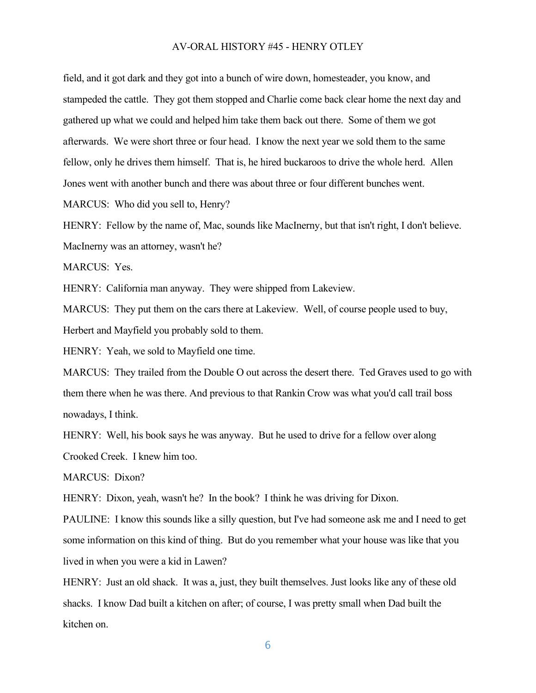field, and it got dark and they got into a bunch of wire down, homesteader, you know, and stampeded the cattle. They got them stopped and Charlie come back clear home the next day and gathered up what we could and helped him take them back out there. Some of them we got afterwards. We were short three or four head. I know the next year we sold them to the same fellow, only he drives them himself. That is, he hired buckaroos to drive the whole herd. Allen Jones went with another bunch and there was about three or four different bunches went.

MARCUS: Who did you sell to, Henry?

HENRY: Fellow by the name of, Mac, sounds like MacInerny, but that isn't right, I don't believe. MacInerny was an attorney, wasn't he?

MARCUS: Yes.

HENRY: California man anyway. They were shipped from Lakeview.

MARCUS: They put them on the cars there at Lakeview. Well, of course people used to buy, Herbert and Mayfield you probably sold to them.

HENRY: Yeah, we sold to Mayfield one time.

MARCUS: They trailed from the Double O out across the desert there. Ted Graves used to go with them there when he was there. And previous to that Rankin Crow was what you'd call trail boss nowadays, I think.

HENRY: Well, his book says he was anyway. But he used to drive for a fellow over along Crooked Creek. I knew him too.

MARCUS: Dixon?

HENRY: Dixon, yeah, wasn't he? In the book? I think he was driving for Dixon.

PAULINE: I know this sounds like a silly question, but I've had someone ask me and I need to get some information on this kind of thing. But do you remember what your house was like that you lived in when you were a kid in Lawen?

HENRY: Just an old shack. It was a, just, they built themselves. Just looks like any of these old shacks. I know Dad built a kitchen on after; of course, I was pretty small when Dad built the kitchen on.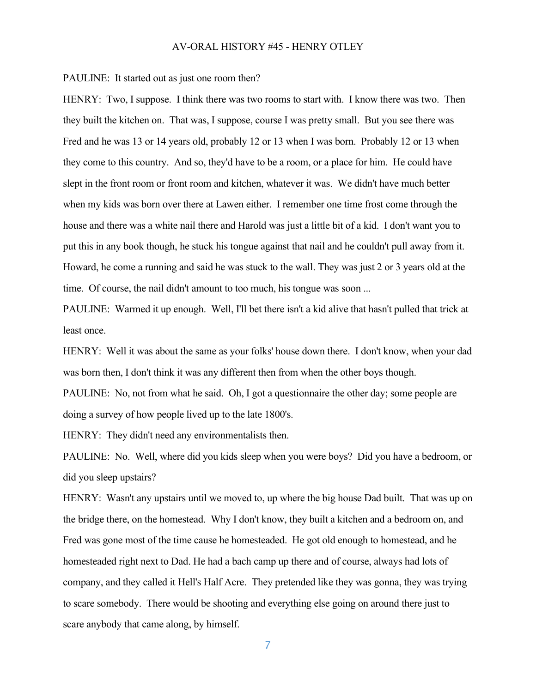PAULINE: It started out as just one room then?

HENRY: Two, I suppose. I think there was two rooms to start with. I know there was two. Then they built the kitchen on. That was, I suppose, course I was pretty small. But you see there was Fred and he was 13 or 14 years old, probably 12 or 13 when I was born. Probably 12 or 13 when they come to this country. And so, they'd have to be a room, or a place for him. He could have slept in the front room or front room and kitchen, whatever it was. We didn't have much better when my kids was born over there at Lawen either. I remember one time frost come through the house and there was a white nail there and Harold was just a little bit of a kid. I don't want you to put this in any book though, he stuck his tongue against that nail and he couldn't pull away from it. Howard, he come a running and said he was stuck to the wall. They was just 2 or 3 years old at the time. Of course, the nail didn't amount to too much, his tongue was soon ...

PAULINE: Warmed it up enough. Well, I'll bet there isn't a kid alive that hasn't pulled that trick at least once.

HENRY: Well it was about the same as your folks' house down there. I don't know, when your dad was born then, I don't think it was any different then from when the other boys though.

PAULINE: No, not from what he said. Oh, I got a questionnaire the other day; some people are doing a survey of how people lived up to the late 1800's.

HENRY: They didn't need any environmentalists then.

PAULINE: No. Well, where did you kids sleep when you were boys? Did you have a bedroom, or did you sleep upstairs?

HENRY: Wasn't any upstairs until we moved to, up where the big house Dad built. That was up on the bridge there, on the homestead. Why I don't know, they built a kitchen and a bedroom on, and Fred was gone most of the time cause he homesteaded. He got old enough to homestead, and he homesteaded right next to Dad. He had a bach camp up there and of course, always had lots of company, and they called it Hell's Half Acre. They pretended like they was gonna, they was trying to scare somebody. There would be shooting and everything else going on around there just to scare anybody that came along, by himself.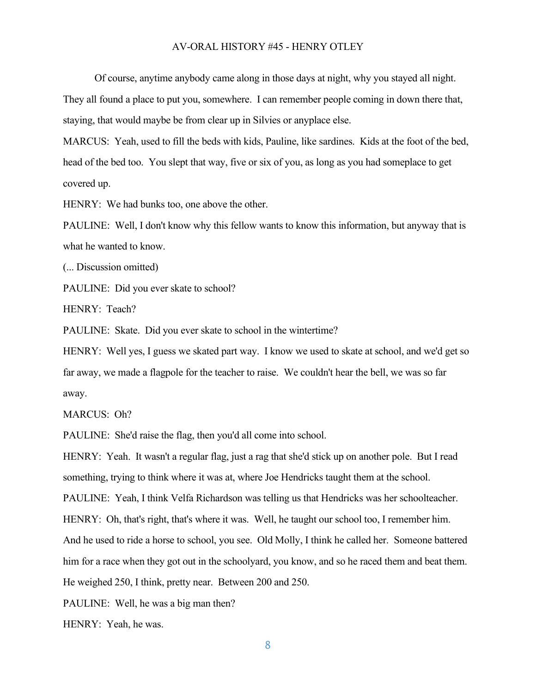Of course, anytime anybody came along in those days at night, why you stayed all night.

They all found a place to put you, somewhere. I can remember people coming in down there that, staying, that would maybe be from clear up in Silvies or anyplace else.

MARCUS: Yeah, used to fill the beds with kids, Pauline, like sardines. Kids at the foot of the bed, head of the bed too. You slept that way, five or six of you, as long as you had someplace to get covered up.

HENRY: We had bunks too, one above the other.

PAULINE: Well, I don't know why this fellow wants to know this information, but anyway that is what he wanted to know.

(... Discussion omitted)

PAULINE: Did you ever skate to school?

HENRY: Teach?

PAULINE: Skate. Did you ever skate to school in the wintertime?

HENRY: Well yes, I guess we skated part way. I know we used to skate at school, and we'd get so far away, we made a flagpole for the teacher to raise. We couldn't hear the bell, we was so far away.

MARCUS: Oh?

PAULINE: She'd raise the flag, then you'd all come into school.

HENRY: Yeah. It wasn't a regular flag, just a rag that she'd stick up on another pole. But I read something, trying to think where it was at, where Joe Hendricks taught them at the school. PAULINE: Yeah, I think Velfa Richardson was telling us that Hendricks was her schoolteacher. HENRY: Oh, that's right, that's where it was. Well, he taught our school too, I remember him. And he used to ride a horse to school, you see. Old Molly, I think he called her. Someone battered him for a race when they got out in the schoolyard, you know, and so he raced them and beat them. He weighed 250, I think, pretty near. Between 200 and 250.

PAULINE: Well, he was a big man then?

HENRY: Yeah, he was.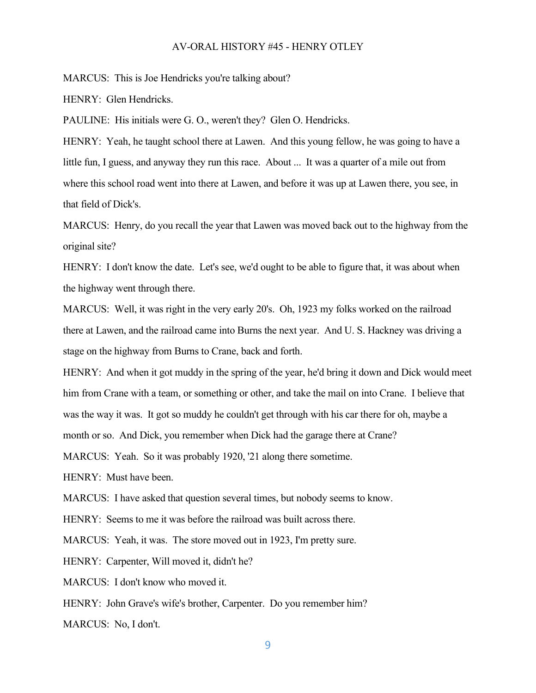MARCUS: This is Joe Hendricks you're talking about?

HENRY: Glen Hendricks.

PAULINE: His initials were G. O., weren't they? Glen O. Hendricks.

HENRY: Yeah, he taught school there at Lawen. And this young fellow, he was going to have a little fun, I guess, and anyway they run this race. About ... It was a quarter of a mile out from where this school road went into there at Lawen, and before it was up at Lawen there, you see, in that field of Dick's.

MARCUS: Henry, do you recall the year that Lawen was moved back out to the highway from the original site?

HENRY: I don't know the date. Let's see, we'd ought to be able to figure that, it was about when the highway went through there.

MARCUS: Well, it was right in the very early 20's. Oh, 1923 my folks worked on the railroad there at Lawen, and the railroad came into Burns the next year. And U. S. Hackney was driving a stage on the highway from Burns to Crane, back and forth.

HENRY: And when it got muddy in the spring of the year, he'd bring it down and Dick would meet him from Crane with a team, or something or other, and take the mail on into Crane. I believe that was the way it was. It got so muddy he couldn't get through with his car there for oh, maybe a month or so. And Dick, you remember when Dick had the garage there at Crane?

MARCUS: Yeah. So it was probably 1920, '21 along there sometime.

HENRY: Must have been.

MARCUS: I have asked that question several times, but nobody seems to know.

HENRY: Seems to me it was before the railroad was built across there.

MARCUS: Yeah, it was. The store moved out in 1923, I'm pretty sure.

HENRY: Carpenter, Will moved it, didn't he?

MARCUS: I don't know who moved it.

HENRY: John Grave's wife's brother, Carpenter. Do you remember him?

MARCUS: No, I don't.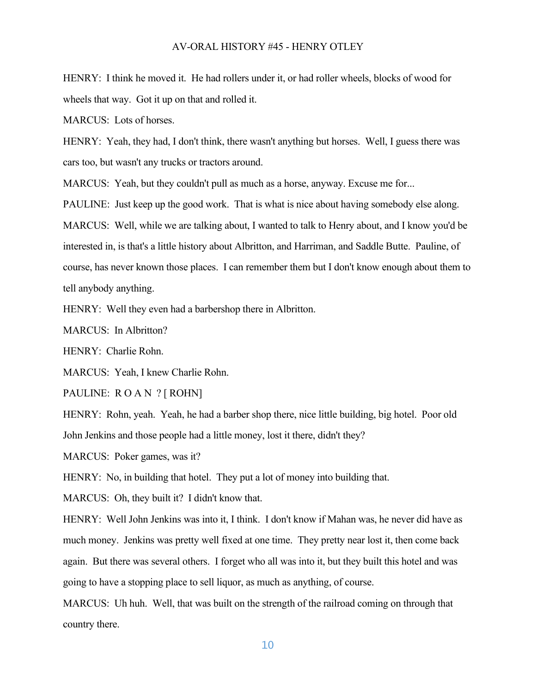HENRY: I think he moved it. He had rollers under it, or had roller wheels, blocks of wood for wheels that way. Got it up on that and rolled it.

MARCUS: Lots of horses.

HENRY: Yeah, they had, I don't think, there wasn't anything but horses. Well, I guess there was cars too, but wasn't any trucks or tractors around.

MARCUS: Yeah, but they couldn't pull as much as a horse, anyway. Excuse me for...

PAULINE: Just keep up the good work. That is what is nice about having somebody else along. MARCUS: Well, while we are talking about, I wanted to talk to Henry about, and I know you'd be interested in, is that's a little history about Albritton, and Harriman, and Saddle Butte. Pauline, of course, has never known those places. I can remember them but I don't know enough about them to tell anybody anything.

HENRY: Well they even had a barbershop there in Albritton.

MARCUS: In Albritton?

HENRY: Charlie Rohn.

MARCUS: Yeah, I knew Charlie Rohn.

PAULINE: R O A N ? [ ROHN]

HENRY: Rohn, yeah. Yeah, he had a barber shop there, nice little building, big hotel. Poor old John Jenkins and those people had a little money, lost it there, didn't they?

MARCUS: Poker games, was it?

HENRY: No, in building that hotel. They put a lot of money into building that.

MARCUS: Oh, they built it? I didn't know that.

HENRY: Well John Jenkins was into it, I think. I don't know if Mahan was, he never did have as much money. Jenkins was pretty well fixed at one time. They pretty near lost it, then come back again. But there was several others. I forget who all was into it, but they built this hotel and was going to have a stopping place to sell liquor, as much as anything, of course.

MARCUS: Uh huh. Well, that was built on the strength of the railroad coming on through that country there.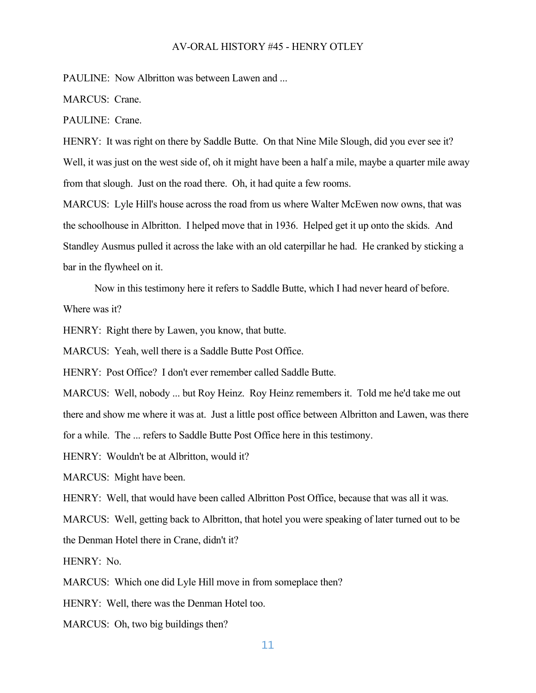PAULINE: Now Albritton was between Lawen and ...

MARCUS: Crane.

PAULINE: Crane.

HENRY: It was right on there by Saddle Butte. On that Nine Mile Slough, did you ever see it? Well, it was just on the west side of, oh it might have been a half a mile, maybe a quarter mile away from that slough. Just on the road there. Oh, it had quite a few rooms.

MARCUS: Lyle Hill's house across the road from us where Walter McEwen now owns, that was the schoolhouse in Albritton. I helped move that in 1936. Helped get it up onto the skids. And Standley Ausmus pulled it across the lake with an old caterpillar he had. He cranked by sticking a bar in the flywheel on it.

Now in this testimony here it refers to Saddle Butte, which I had never heard of before.

Where was it?

HENRY: Right there by Lawen, you know, that butte.

MARCUS: Yeah, well there is a Saddle Butte Post Office.

HENRY: Post Office? I don't ever remember called Saddle Butte.

MARCUS: Well, nobody ... but Roy Heinz. Roy Heinz remembers it. Told me he'd take me out there and show me where it was at. Just a little post office between Albritton and Lawen, was there for a while. The ... refers to Saddle Butte Post Office here in this testimony.

HENRY: Wouldn't be at Albritton, would it?

MARCUS: Might have been.

HENRY: Well, that would have been called Albritton Post Office, because that was all it was.

MARCUS: Well, getting back to Albritton, that hotel you were speaking of later turned out to be

the Denman Hotel there in Crane, didn't it?

HENRY: No.

MARCUS: Which one did Lyle Hill move in from someplace then?

HENRY: Well, there was the Denman Hotel too.

MARCUS: Oh, two big buildings then?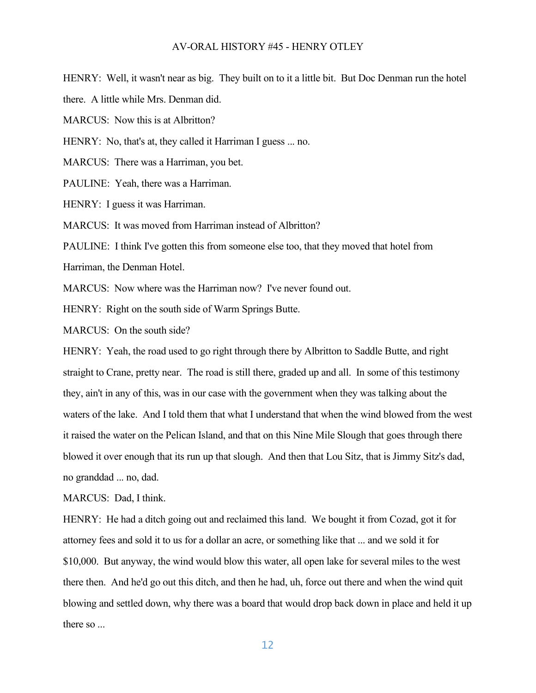HENRY: Well, it wasn't near as big. They built on to it a little bit. But Doc Denman run the hotel

there. A little while Mrs. Denman did.

MARCUS: Now this is at Albritton?

HENRY: No, that's at, they called it Harriman I guess ... no.

MARCUS: There was a Harriman, you bet.

PAULINE: Yeah, there was a Harriman.

HENRY: I guess it was Harriman.

MARCUS: It was moved from Harriman instead of Albritton?

PAULINE: I think I've gotten this from someone else too, that they moved that hotel from Harriman, the Denman Hotel.

MARCUS: Now where was the Harriman now? I've never found out.

HENRY: Right on the south side of Warm Springs Butte.

MARCUS: On the south side?

HENRY: Yeah, the road used to go right through there by Albritton to Saddle Butte, and right straight to Crane, pretty near. The road is still there, graded up and all. In some of this testimony they, ain't in any of this, was in our case with the government when they was talking about the waters of the lake. And I told them that what I understand that when the wind blowed from the west it raised the water on the Pelican Island, and that on this Nine Mile Slough that goes through there blowed it over enough that its run up that slough. And then that Lou Sitz, that is Jimmy Sitz's dad, no granddad ... no, dad.

MARCUS: Dad, I think.

HENRY: He had a ditch going out and reclaimed this land. We bought it from Cozad, got it for attorney fees and sold it to us for a dollar an acre, or something like that ... and we sold it for \$10,000. But anyway, the wind would blow this water, all open lake for several miles to the west there then. And he'd go out this ditch, and then he had, uh, force out there and when the wind quit blowing and settled down, why there was a board that would drop back down in place and held it up there so ...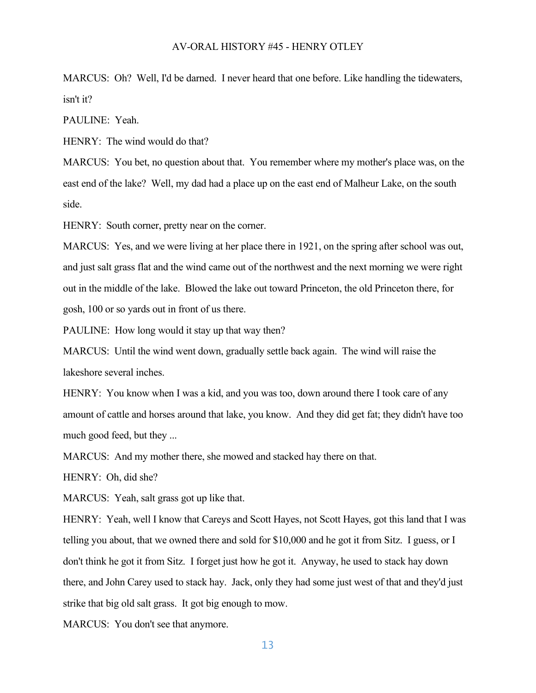MARCUS: Oh? Well, I'd be darned. I never heard that one before. Like handling the tidewaters, isn't it?

PAULINE: Yeah.

HENRY: The wind would do that?

MARCUS: You bet, no question about that. You remember where my mother's place was, on the east end of the lake? Well, my dad had a place up on the east end of Malheur Lake, on the south side.

HENRY: South corner, pretty near on the corner.

MARCUS: Yes, and we were living at her place there in 1921, on the spring after school was out, and just salt grass flat and the wind came out of the northwest and the next morning we were right out in the middle of the lake. Blowed the lake out toward Princeton, the old Princeton there, for gosh, 100 or so yards out in front of us there.

PAULINE: How long would it stay up that way then?

MARCUS: Until the wind went down, gradually settle back again. The wind will raise the lakeshore several inches.

HENRY: You know when I was a kid, and you was too, down around there I took care of any amount of cattle and horses around that lake, you know. And they did get fat; they didn't have too much good feed, but they ...

MARCUS: And my mother there, she mowed and stacked hay there on that.

HENRY: Oh, did she?

MARCUS: Yeah, salt grass got up like that.

HENRY: Yeah, well I know that Careys and Scott Hayes, not Scott Hayes, got this land that I was telling you about, that we owned there and sold for \$10,000 and he got it from Sitz. I guess, or I don't think he got it from Sitz. I forget just how he got it. Anyway, he used to stack hay down there, and John Carey used to stack hay. Jack, only they had some just west of that and they'd just strike that big old salt grass. It got big enough to mow.

MARCUS: You don't see that anymore.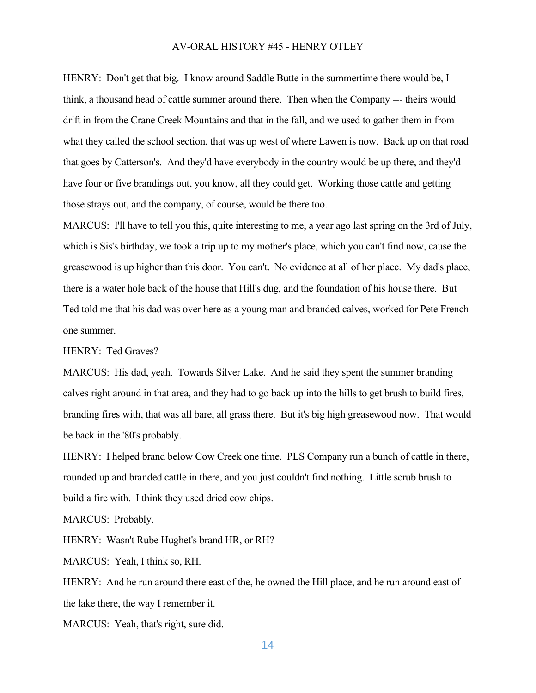HENRY: Don't get that big. I know around Saddle Butte in the summertime there would be, I think, a thousand head of cattle summer around there. Then when the Company --- theirs would drift in from the Crane Creek Mountains and that in the fall, and we used to gather them in from what they called the school section, that was up west of where Lawen is now. Back up on that road that goes by Catterson's. And they'd have everybody in the country would be up there, and they'd have four or five brandings out, you know, all they could get. Working those cattle and getting those strays out, and the company, of course, would be there too.

MARCUS: I'll have to tell you this, quite interesting to me, a year ago last spring on the 3rd of July, which is Sis's birthday, we took a trip up to my mother's place, which you can't find now, cause the greasewood is up higher than this door. You can't. No evidence at all of her place. My dad's place, there is a water hole back of the house that Hill's dug, and the foundation of his house there. But Ted told me that his dad was over here as a young man and branded calves, worked for Pete French one summer.

HENRY: Ted Graves?

MARCUS: His dad, yeah. Towards Silver Lake. And he said they spent the summer branding calves right around in that area, and they had to go back up into the hills to get brush to build fires, branding fires with, that was all bare, all grass there. But it's big high greasewood now. That would be back in the '80's probably.

HENRY: I helped brand below Cow Creek one time. PLS Company run a bunch of cattle in there, rounded up and branded cattle in there, and you just couldn't find nothing. Little scrub brush to build a fire with. I think they used dried cow chips.

MARCUS: Probably.

HENRY: Wasn't Rube Hughet's brand HR, or RH?

MARCUS: Yeah, I think so, RH.

HENRY: And he run around there east of the, he owned the Hill place, and he run around east of the lake there, the way I remember it.

MARCUS: Yeah, that's right, sure did.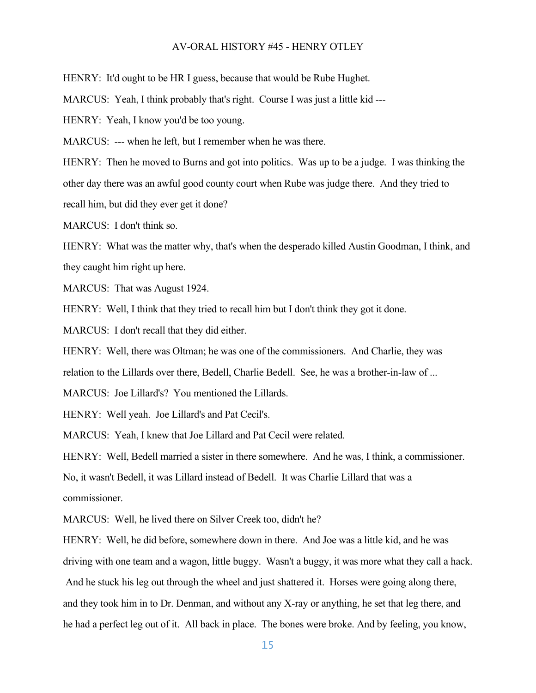HENRY: It'd ought to be HR I guess, because that would be Rube Hughet.

MARCUS: Yeah, I think probably that's right. Course I was just a little kid ---

HENRY: Yeah, I know you'd be too young.

MARCUS: --- when he left, but I remember when he was there.

HENRY: Then he moved to Burns and got into politics. Was up to be a judge. I was thinking the other day there was an awful good county court when Rube was judge there. And they tried to recall him, but did they ever get it done?

MARCUS: I don't think so.

HENRY: What was the matter why, that's when the desperado killed Austin Goodman, I think, and they caught him right up here.

MARCUS: That was August 1924.

HENRY: Well, I think that they tried to recall him but I don't think they got it done.

MARCUS: I don't recall that they did either.

HENRY: Well, there was Oltman; he was one of the commissioners. And Charlie, they was

relation to the Lillards over there, Bedell, Charlie Bedell. See, he was a brother-in-law of ...

MARCUS: Joe Lillard's? You mentioned the Lillards.

HENRY: Well yeah. Joe Lillard's and Pat Cecil's.

MARCUS: Yeah, I knew that Joe Lillard and Pat Cecil were related.

HENRY: Well, Bedell married a sister in there somewhere. And he was, I think, a commissioner.

No, it wasn't Bedell, it was Lillard instead of Bedell. It was Charlie Lillard that was a

commissioner.

MARCUS: Well, he lived there on Silver Creek too, didn't he?

HENRY: Well, he did before, somewhere down in there. And Joe was a little kid, and he was driving with one team and a wagon, little buggy. Wasn't a buggy, it was more what they call a hack.

And he stuck his leg out through the wheel and just shattered it. Horses were going along there, and they took him in to Dr. Denman, and without any X-ray or anything, he set that leg there, and he had a perfect leg out of it. All back in place. The bones were broke. And by feeling, you know,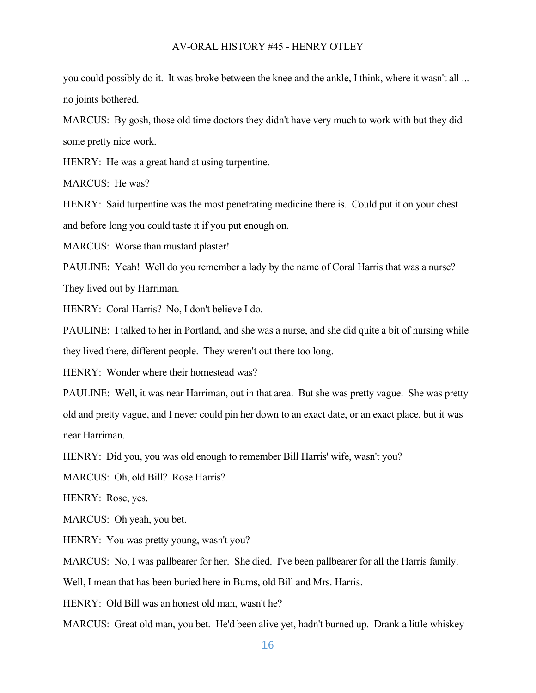you could possibly do it. It was broke between the knee and the ankle, I think, where it wasn't all ... no joints bothered.

MARCUS: By gosh, those old time doctors they didn't have very much to work with but they did some pretty nice work.

HENRY: He was a great hand at using turpentine.

MARCUS: He was?

HENRY: Said turpentine was the most penetrating medicine there is. Could put it on your chest and before long you could taste it if you put enough on.

MARCUS: Worse than mustard plaster!

PAULINE: Yeah! Well do you remember a lady by the name of Coral Harris that was a nurse? They lived out by Harriman.

HENRY: Coral Harris? No, I don't believe I do.

PAULINE: I talked to her in Portland, and she was a nurse, and she did quite a bit of nursing while they lived there, different people. They weren't out there too long.

HENRY: Wonder where their homestead was?

PAULINE: Well, it was near Harriman, out in that area. But she was pretty vague. She was pretty old and pretty vague, and I never could pin her down to an exact date, or an exact place, but it was near Harriman.

HENRY: Did you, you was old enough to remember Bill Harris' wife, wasn't you?

MARCUS: Oh, old Bill? Rose Harris?

HENRY: Rose, yes.

MARCUS: Oh yeah, you bet.

HENRY: You was pretty young, wasn't you?

MARCUS: No, I was pallbearer for her. She died. I've been pallbearer for all the Harris family.

Well, I mean that has been buried here in Burns, old Bill and Mrs. Harris.

HENRY: Old Bill was an honest old man, wasn't he?

MARCUS: Great old man, you bet. He'd been alive yet, hadn't burned up. Drank a little whiskey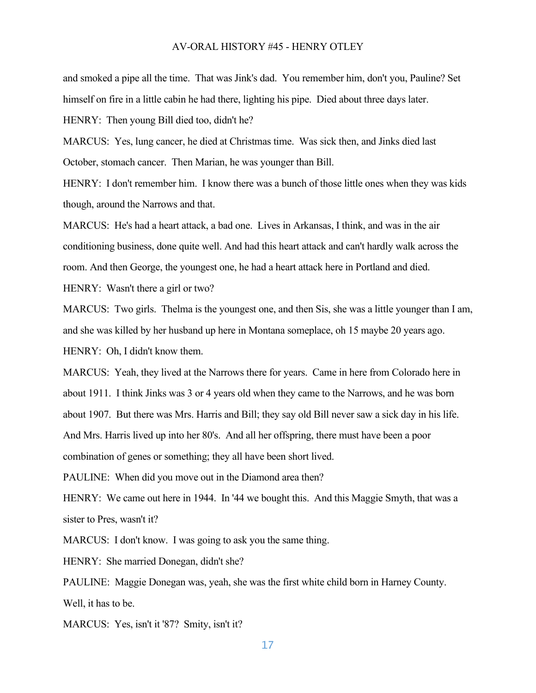and smoked a pipe all the time. That was Jink's dad. You remember him, don't you, Pauline? Set himself on fire in a little cabin he had there, lighting his pipe. Died about three days later.

HENRY: Then young Bill died too, didn't he?

MARCUS: Yes, lung cancer, he died at Christmas time. Was sick then, and Jinks died last October, stomach cancer. Then Marian, he was younger than Bill.

HENRY: I don't remember him. I know there was a bunch of those little ones when they was kids though, around the Narrows and that.

MARCUS: He's had a heart attack, a bad one. Lives in Arkansas, I think, and was in the air conditioning business, done quite well. And had this heart attack and can't hardly walk across the room. And then George, the youngest one, he had a heart attack here in Portland and died. HENRY: Wasn't there a girl or two?

MARCUS: Two girls. Thelma is the youngest one, and then Sis, she was a little younger than I am, and she was killed by her husband up here in Montana someplace, oh 15 maybe 20 years ago. HENRY: Oh, I didn't know them.

MARCUS: Yeah, they lived at the Narrows there for years. Came in here from Colorado here in about 1911. I think Jinks was 3 or 4 years old when they came to the Narrows, and he was born about 1907. But there was Mrs. Harris and Bill; they say old Bill never saw a sick day in his life. And Mrs. Harris lived up into her 80's. And all her offspring, there must have been a poor combination of genes or something; they all have been short lived.

PAULINE: When did you move out in the Diamond area then?

HENRY: We came out here in 1944. In '44 we bought this. And this Maggie Smyth, that was a sister to Pres, wasn't it?

MARCUS: I don't know. I was going to ask you the same thing.

HENRY: She married Donegan, didn't she?

PAULINE: Maggie Donegan was, yeah, she was the first white child born in Harney County. Well, it has to be.

MARCUS: Yes, isn't it '87? Smity, isn't it?